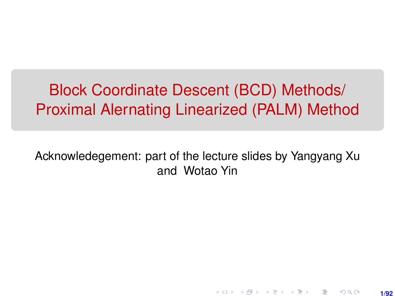# Block Coordinate Descent (BCD) Methods/ Proximal Alernating Linearized (PALM) Method

Acknowledegement: part of the lecture slides by Yangyang Xu and Wotao Yin

**1/92**

K ロ ▶ K 레 ▶ K 회 ▶ K 회 ▶ │ 회 │ ⊙ Q Q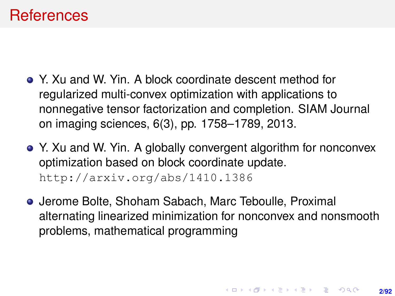#### **References**

- Y. Xu and W. Yin. A block coordinate descent method for regularized multi-convex optimization with applications to nonnegative tensor factorization and completion. SIAM Journal on imaging sciences, 6(3), pp. 1758–1789, 2013.
- Y. Xu and W. Yin. A globally convergent algorithm for nonconvex optimization based on block coordinate update. <http://arxiv.org/abs/1410.1386>
- Jerome Bolte, Shoham Sabach, Marc Teboulle, Proximal alternating linearized minimization for nonconvex and nonsmooth problems, mathematical programming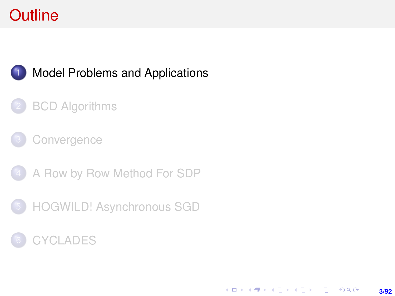# <span id="page-2-0"></span>**Outline**



#### **[Model Problems and Applications](#page-2-0)**

#### **[BCD Algorithms](#page-7-0)**

#### **[Convergence](#page-21-0)**

- 4 [A Row by Row Method For SDP](#page-38-0)
- 5 [HOGWILD! Asynchronous SGD](#page-47-0)

### **[CYCLADES](#page-69-0)**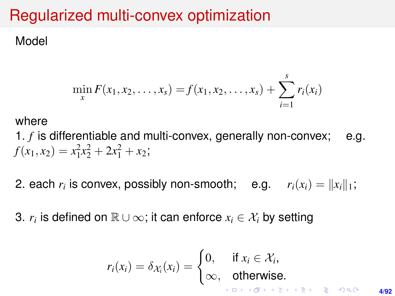# Regularized multi-convex optimization

Model

$$
\min_{x} F(x_1, x_2, \dots, x_s) = f(x_1, x_2, \dots, x_s) + \sum_{i=1}^{s} r_i(x_i)
$$

#### where

1. *f* is differentiable and multi-convex, generally non-convex; e.g.  $f(x_1, x_2) = x_1^2 x_2^2 + 2x_1^2 + x_2;$ 

2. each  $r_i$  is convex, possibly non-smooth; e.g.  $r_i(x_i) = \|x_i\|_1;$ 

3.  $r_i$  is defined on  $\mathbb{R} \cup \infty$ ; it can enforce  $x_i \in \mathcal{X}_i$  by setting

$$
r_i(x_i) = \delta_{\mathcal{X}_i}(x_i) = \begin{cases} 0, & \text{if } x_i \in \mathcal{X}_i, \\ \infty, & \text{otherwise.} \end{cases}
$$

**4/92**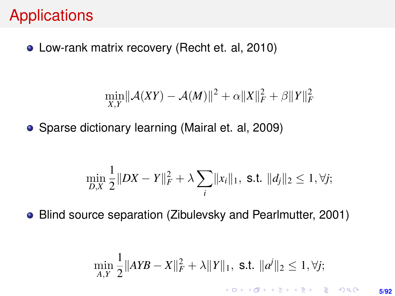## **Applications**

Low-rank matrix recovery (Recht et. al, 2010)

$$
\min_{X,Y} \lVert \mathcal{A}(XY) - \mathcal{A}(M) \rVert^2 + \alpha \lVert X \rVert_F^2 + \beta \lVert Y \rVert_F^2
$$

• Sparse dictionary learning (Mairal et. al, 2009)

$$
\min_{D,X} \frac{1}{2} \|DX - Y\|_F^2 + \lambda \sum_i \|x_i\|_1, \text{ s.t. } \|d_j\|_2 \le 1, \forall j;
$$

Blind source separation (Zibulevsky and Pearlmutter, 2001)

$$
\min_{A,Y} \frac{1}{2} \|AYB - X\|_F^2 + \lambda \|Y\|_1, \text{ s.t. } \|a^j\|_2 \le 1, \forall j;
$$

**5/92**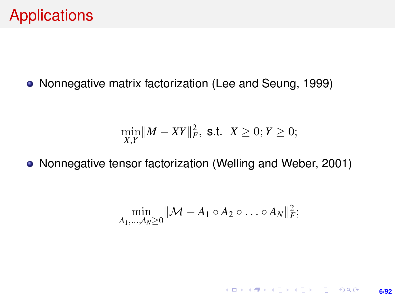Nonnegative matrix factorization (Lee and Seung, 1999)

$$
\min_{X,Y} \|M - XY\|_F^2, \text{ s.t. } X \ge 0; Y \ge 0;
$$

• Nonnegative tensor factorization (Welling and Weber, 2001)

$$
\min_{A_1,\ldots,A_N\geq 0} \|\mathcal{M}-A_1\circ A_2\circ \ldots \circ A_N\|_F^2;
$$

**6/92**

**KORKARK (EXIST) E MOOR**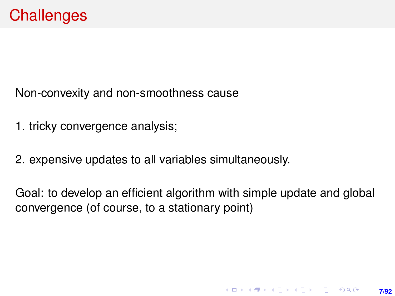Non-convexity and non-smoothness cause

- 1. tricky convergence analysis;
- 2. expensive updates to all variables simultaneously.

Goal: to develop an efficient algorithm with simple update and global convergence (of course, to a stationary point)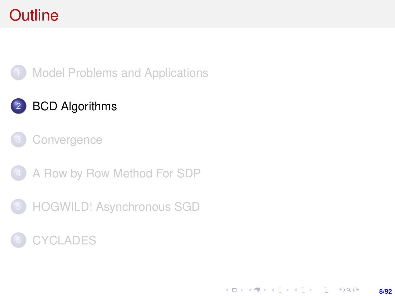# <span id="page-7-0"></span>**Outline**



### 2 [BCD Algorithms](#page-7-0)



- 4 [A Row by Row Method For SDP](#page-38-0)
- 5 [HOGWILD! Asynchronous SGD](#page-47-0)

#### **[CYCLADES](#page-69-0)**

KORK (FIRKER EN DE ROACH **8/92**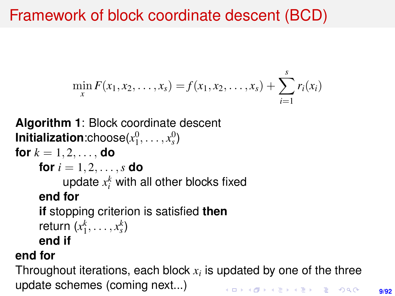# Framework of block coordinate descent (BCD)

$$
\min_{x} F(x_1, x_2, \ldots, x_s) = f(x_1, x_2, \ldots, x_s) + \sum_{i=1}^{s} r_i(x_i)
$$

```
Algorithm 1: Block coordinate descent
Initialization:choose(x_1^0, \ldots, x_s^0)for k = 1, 2, \ldots, do
     for i = 1, 2, ..., s do
           update x_i^k with all other blocks fixed
     end for
     if stopping criterion is satisfied then
     return (x_1^k, \ldots, x_s^k)end if
```
#### **end for**

Throughout iterations, each block  $x_i$  is updated by one of the three update schemes (coming next...)**KORKAR KERKER E VOOR**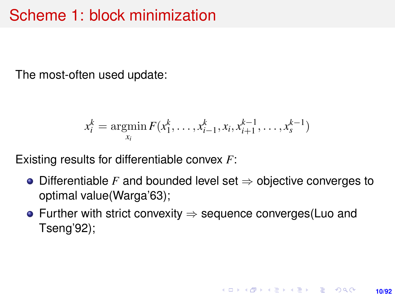# Scheme 1: block minimization

The most-often used update:

$$
x_i^k = \operatorname*{argmin}_{x_i} F(x_1^k, \dots, x_{i-1}^k, x_i, x_{i+1}^{k-1}, \dots, x_s^{k-1})
$$

Existing results for differentiable convex *F*:

- Differentiable *F* and bounded level set ⇒ objective converges to optimal value(Warga'63);
- Further with strict convexity ⇒ sequence converges(Luo and Tseng'92);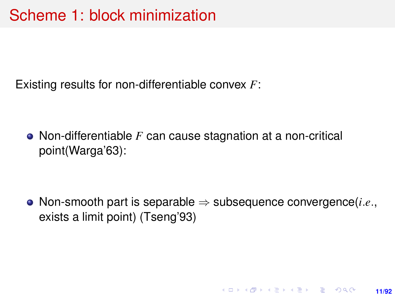Existing results for non-differentiable convex *F*:

Non-differentiable *F* can cause stagnation at a non-critical point(Warga'63):

Non-smooth part is separable ⇒ subsequence convergence(*i*.*e*., exists a limit point) (Tseng'93)

**11/92**

KORK ERKER ERKER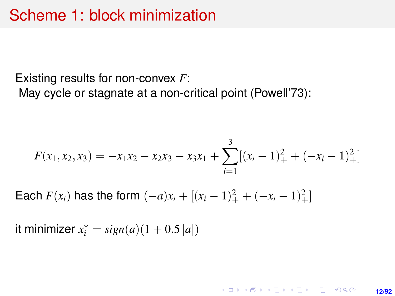Existing results for non-convex *F*:

May cycle or stagnate at a non-critical point (Powell'73):

$$
F(x_1, x_2, x_3) = -x_1x_2 - x_2x_3 - x_3x_1 + \sum_{i=1}^{3} [(x_i - 1)^2 + (-x_i - 1)^2] +
$$

**12/92**

**KORKARK KERKER DRAM** 

Each  $F(x_i)$  has the form  $(-a)x_i + [(x_i - 1)]^2_+ + (-x_i - 1)]^2_+$ 

it minimizer  $x_i^* = sign(a)(1 + 0.5|a|)$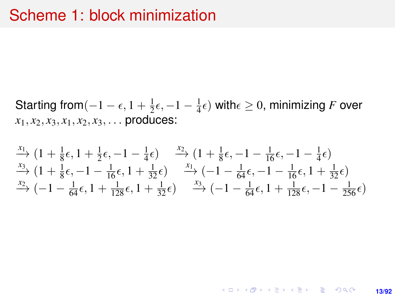Starting from $(-1 - \epsilon, 1 + \frac{1}{2})$  $\frac{1}{2}\epsilon, -1-\frac{1}{4}$  $\frac{1}{4} \epsilon$ ) with $\epsilon \geq 0$ , minimizing  $F$  over  $x_1, x_2, x_3, x_1, x_2, x_3, \ldots$  produces:

 $\stackrel{x_1}{\longrightarrow}$  (1 +  $\frac{1}{8}$ )  $\frac{1}{8}\epsilon$ , 1 +  $\frac{1}{2}$  $\frac{1}{2}\epsilon, -1-\frac{1}{4}$  $(\frac{1}{4}\epsilon)$   $\xrightarrow{x_2}$   $(1+\frac{1}{8})$  $\frac{1}{8}\epsilon, -1 - \frac{1}{16}\epsilon, -1 - \frac{1}{4}$  $\frac{1}{4}\epsilon$  $x_3 \rightarrow (1 + \frac{1}{8})$  $\frac{1}{8}\epsilon, -1 - \frac{1}{16}\epsilon, 1 + \frac{1}{32}\epsilon$   $\longrightarrow$   $\left(-1 - \frac{1}{64}\epsilon, -1 - \frac{1}{16}\epsilon, 1 + \frac{1}{32}\epsilon\right)$  $\xrightarrow{x_2}$  (−1 −  $\frac{1}{64}$  $\epsilon$ , 1 +  $\frac{1}{128}$  $\epsilon$ , 1 +  $\frac{1}{32}$  $\epsilon$ )  $\xrightarrow{x_3}$  (−1 −  $\frac{1}{64}$  $\epsilon$ , 1 +  $\frac{1}{128}$  $\epsilon$ , −1 −  $\frac{1}{256}$  $\epsilon$ )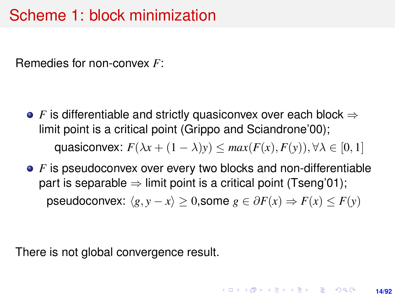## Scheme 1: block minimization

Remedies for non-convex *F*:

- **•** *F* is differentiable and strictly quasiconvex over each block ⇒ limit point is a critical point (Grippo and Sciandrone'00); quasiconvex:  $F(\lambda x + (1 - \lambda)y) \leq max(F(x), F(y)), \forall \lambda \in [0, 1]$
- **•** F is pseudoconvex over every two blocks and non-differentiable part is separable  $\Rightarrow$  limit point is a critical point (Tseng'01); pseudoconvex:  $\langle g, y - x \rangle \geq 0$ , some  $g \in \partial F(x) \Rightarrow F(x) \leq F(y)$

There is not global convergence result.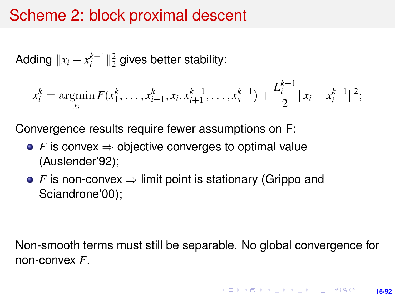## Scheme 2: block proximal descent

Adding  $\|x_i - x_i^{k-1}\|_2^2$  gives better stability:

$$
x_i^k = \operatorname*{argmin}_{x_i} F(x_1^k, \ldots, x_{i-1}^k, x_i, x_{i+1}^{k-1}, \ldots, x_s^{k-1}) + \frac{L_i^{k-1}}{2} ||x_i - x_i^{k-1}||^2;
$$

Convergence results require fewer assumptions on F:

- *F* is convex  $\Rightarrow$  objective converges to optimal value (Auslender'92);
- **•** *F* is non-convex ⇒ limit point is stationary (Grippo and Sciandrone'00);

Non-smooth terms must still be separable. No global convergence for non-convex *F*.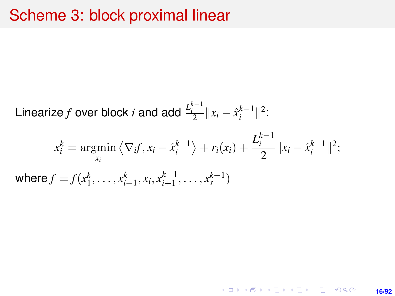#### Scheme 3: block proximal linear

Linearize *f* over block *i* and add 
$$
\frac{L_i^{k-1}}{2} ||x_i - \hat{x}_i^{k-1}||^2
$$
:

$$
x_i^k = \underset{x_i}{\text{argmin}} \left\langle \nabla_i f, x_i - \hat{x}_i^{k-1} \right\rangle + r_i(x_i) + \frac{L_i^{k-1}}{2} \|x_i - \hat{x}_i^{k-1}\|^2;
$$
  
where  $f = f(x_1^k, \dots, x_{i-1}^k, x_i, x_{i+1}^{k-1}, \dots, x_s^{k-1})$ 

K ロ X x (個) X x ミ X x ミ X = 3 → 5 × 0 × 0 × **16/92**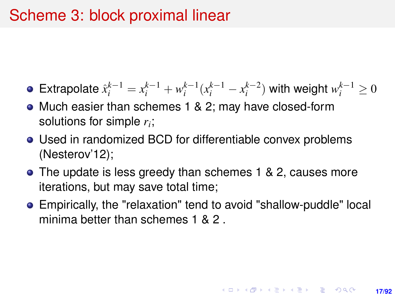## Scheme 3: block proximal linear

- Extrapolate  $\hat{x}_i^{k-1} = x_i^{k-1} + w_i^{k-1}(x_i^{k-1} x_i^{k-2})$  with weight  $w_i^{k-1} \geq 0$
- Much easier than schemes 1 & 2; may have closed-form solutions for simple *r<sup>i</sup>* ;
- Used in randomized BCD for differentiable convex problems (Nesterov'12);
- The update is less greedy than schemes 1 & 2, causes more iterations, but may save total time;
- Empirically, the "relaxation" tend to avoid "shallow-puddle" local minima better than schemes 1 & 2 .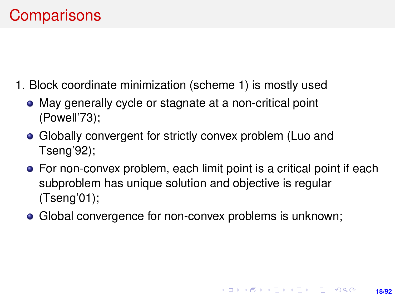# **Comparisons**

- 1. Block coordinate minimization (scheme 1) is mostly used
	- May generally cycle or stagnate at a non-critical point (Powell'73);
	- Globally convergent for strictly convex problem (Luo and Tseng'92);
	- For non-convex problem, each limit point is a critical point if each subproblem has unique solution and objective is regular (Tseng'01);
	- Global convergence for non-convex problems is unknown;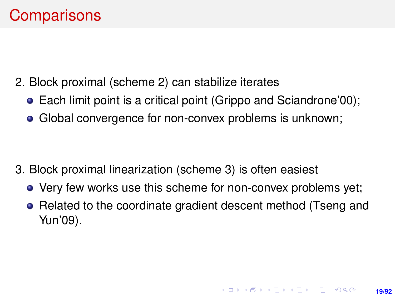- 2. Block proximal (scheme 2) can stabilize iterates
	- Each limit point is a critical point (Grippo and Sciandrone'00);
	- Global convergence for non-convex problems is unknown;

- 3. Block proximal linearization (scheme 3) is often easiest
	- Very few works use this scheme for non-convex problems yet;
	- Related to the coordinate gradient descent method (Tseng and Yun'09).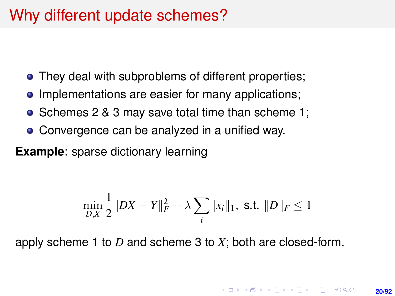## Why different update schemes?

- They deal with subproblems of different properties;
- Implementations are easier for many applications;
- Schemes 2 & 3 may save total time than scheme 1;  $\bullet$
- Convergence can be analyzed in a unified way.

**Example**: sparse dictionary learning

$$
\min_{D,X} \frac{1}{2} \|DX - Y\|_F^2 + \lambda \sum_i \|x_i\|_1, \text{ s.t. } \|D\|_F \le 1
$$

apply scheme 1 to *D* and scheme 3 to *X*; both are closed-form.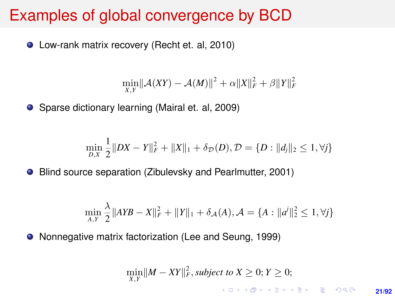## Examples of global convergence by BCD

● Low-rank matrix recovery (Recht et. al, 2010)

$$
\min_{X,Y} ||\mathcal{A}(XY) - \mathcal{A}(M)||^2 + \alpha ||X||_F^2 + \beta ||Y||_F^2
$$

● Sparse dictionary learning (Mairal et. al, 2009)

$$
\min_{D,X} \frac{1}{2} \|DX - Y\|_F^2 + \|X\|_1 + \delta_{\mathcal{D}}(D), \mathcal{D} = \{D : \|d_j\|_2 \le 1, \forall j\}
$$

Blind source separation (Zibulevsky and Pearlmutter, 2001)  $\bullet$ 

$$
\min_{A,Y} \frac{\lambda}{2} \| AYB - X \|^2_F + \| Y \|_1 + \delta_{\mathcal{A}}(A), \mathcal{A} = \{ A : \| a^i \|_2^2 \le 1, \forall j \}
$$

Nonnegative matrix factorization (Lee and Seung, 1999)

$$
\min_{X,Y} ||M - XY||_F^2, \text{subject to } X \ge 0; Y \ge 0;
$$

**21/92**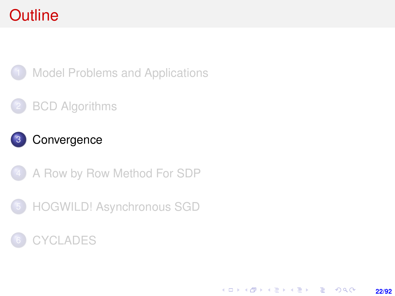# <span id="page-21-0"></span>**Outline**



**[Model Problems and Applications](#page-2-0)** 

#### **[BCD Algorithms](#page-7-0)**



4 [A Row by Row Method For SDP](#page-38-0)



#### **[CYCLADES](#page-69-0)**

K ロ > K @ > K 할 > K 할 > → 할 → 9 Q @ **22/92**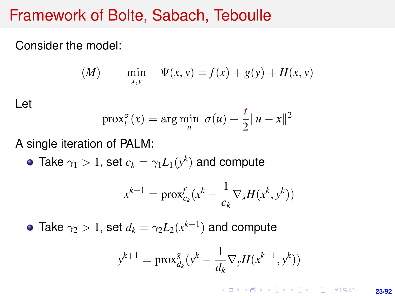#### Framework of Bolte, Sabach, Teboulle

Consider the model:

(M) 
$$
\min_{x,y} \quad \Psi(x,y) = f(x) + g(y) + H(x,y)
$$

Let

$$
\operatorname{prox}_{t}^{\sigma}(x) = \arg\min_{u} \; \sigma(u) + \frac{t}{2} ||u - x||^{2}
$$

A single iteration of PALM:

Take  $\gamma_1 > 1$ , set  $c_k = \gamma_1 L_1(y^k)$  and compute

$$
x^{k+1} = \text{prox}_{c_k}^f(x^k - \frac{1}{c_k} \nabla_x H(x^k, y^k))
$$

Take  $\gamma_2>1$ , set  $d_k=\gamma_2 L_2(x^{k+1})$  and compute

$$
y^{k+1} = \text{prox}_{d_k}^g (y^k - \frac{1}{d_k} \nabla_y H(x^{k+1}, y^k))
$$

**KORKARK A BIK BIKA A GA A GA A GA A BIKA A BIKA A BIKA A BIKA A BIKA A BIKA A BIKA A BIKA A BIKA A BIKA A BIKA 23/92**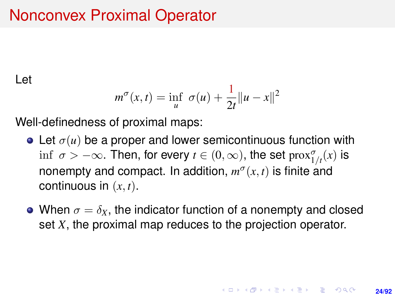# Nonconvex Proximal Operator

Let

$$
m^{\sigma}(x,t) = \inf_{u} \sigma(u) + \frac{1}{2t} ||u - x||^2
$$

Well-definedness of proximal maps:

- Let  $\sigma(u)$  be a proper and lower semicontinuous function with  $\inf~\sigma>-\infty.$  Then, for every  $t\in(0,\infty),$  the set  $\mathrm{prox}_{1/t}^{\sigma}(x)$  is nonempty and compact. In addition,  $m^{\sigma}(x, t)$  is finite and continuous in (*x*, *t*).
- When  $\sigma = \delta_X$ , the indicator function of a nonempty and closed set *X*, the proximal map reduces to the projection operator.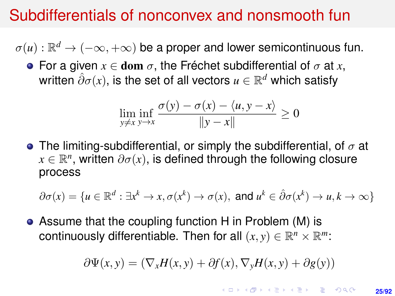## Subdifferentials of nonconvex and nonsmooth fun

 $\sigma(u): \mathbb{R}^d \to (-\infty, +\infty)$  be a proper and lower semicontinuous fun.

**•** For a given  $x \in$  dom  $\sigma$ , the Fréchet subdifferential of  $\sigma$  at x, written  $\hat{\partial}\sigma(x)$ , is the set of all vectors  $u\in\mathbb{R}^d$  which satisfy

$$
\liminf_{y \neq x} \frac{\sigma(y) - \sigma(x) - \langle u, y - x \rangle}{\|y - x\|} \ge 0
$$

**•** The limiting-subdifferential, or simply the subdifferential, of  $\sigma$  at  $x \in \mathbb{R}^n$ , written  $\partial \sigma(x)$ , is defined through the following closure process

$$
\partial \sigma(x) = \{ u \in \mathbb{R}^d : \exists x^k \to x, \sigma(x^k) \to \sigma(x), \text{ and } u^k \in \hat{\partial} \sigma(x^k) \to u, k \to \infty \}
$$

Assume that the coupling function H in Problem (M) is continuously differentiable. Then for all  $(x, y) \in \mathbb{R}^n \times \mathbb{R}^m$ :

$$
\partial \Psi(x, y) = (\nabla_x H(x, y) + \partial f(x), \nabla_y H(x, y) + \partial g(y))
$$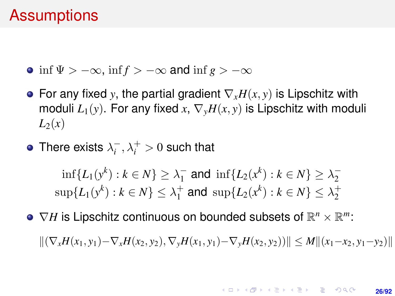#### **Assumptions**

- inf  $\Psi$  >  $-\infty$ , inf  $f$  >  $-\infty$  and inf  $g$  >  $-\infty$
- For any fixed *y*, the partial gradient ∇*xH*(*x*, *y*) is Lipschitz with moduli  $L_1(y)$ . For any fixed  $x, \nabla_y H(x, y)$  is Lipschitz with moduli  $L_2(x)$
- There exists  $\lambda_i^-, \lambda_i^+ > 0$  such that

$$
\inf\{L_1(y^k) : k \in N\} \ge \lambda_1^- \text{ and } \inf\{L_2(x^k) : k \in N\} \ge \lambda_2^-
$$
  

$$
\sup\{L_1(y^k) : k \in N\} \le \lambda_1^+ \text{ and } \sup\{L_2(x^k) : k \in N\} \le \lambda_2^+
$$

 $\nabla H$  is Lipschitz continuous on bounded subsets of  $\mathbb{R}^n$  ×  $\mathbb{R}^m$ :

 $\|(\nabla_x H(x_1, y_1) - \nabla_x H(x_2, y_2), \nabla_y H(x_1, y_1) - \nabla_y H(x_2, y_2))\| \leq M \| (x_1 - x_2, y_1 - y_2) \|$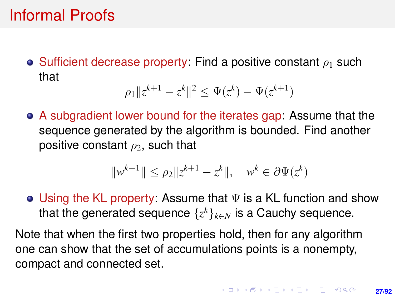## Informal Proofs

• Sufficient decrease property: Find a positive constant  $\rho_1$  such that

$$
\rho_1 \|z^{k+1} - z^k\|^2 \le \Psi(z^k) - \Psi(z^{k+1})
$$

A subgradient lower bound for the iterates gap: Assume that the sequence generated by the algorithm is bounded. Find another positive constant  $\rho_2$ , such that

$$
||w^{k+1}|| \le \rho_2 ||z^{k+1} - z^k||
$$
,  $w^k \in \partial \Psi(z^k)$ 

• Using the KL property: Assume that  $\Psi$  is a KL function and show that the generated sequence  $\{z^k\}_{k\in N}$  is a Cauchy sequence.

Note that when the first two properties hold, then for any algorithm one can show that the set of accumulations points is a nonempty, compact and connected set.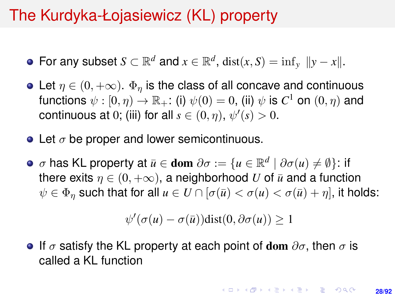# The Kurdyka-Łojasiewicz (KL) property

- For any subset  $S \subset \mathbb{R}^d$  and  $x \in \mathbb{R}^d$ ,  $dist(x, S) = inf_y ||y x||$ .
- Let  $\eta \in (0, +\infty)$ .  $\Phi_n$  is the class of all concave and continuous functions  $\psi: [0, \eta) \to \mathbb{R}_+$ : (i)  $\psi(0) = 0$ , (ii)  $\psi$  is  $C^1$  on  $(0, \eta)$  and continuous at 0; (iii) for all  $s \in (0, \eta)$ ,  $\psi'(s) > 0$ .
- Let  $\sigma$  be proper and lower semicontinuous.
- $\sigma$  has KL property at  $\bar{u} \in$  dom  $\partial \sigma := \{ u \in \mathbb{R}^d \mid \partial \sigma(u) \neq \emptyset \}$ : if there exits  $\eta \in (0, +\infty)$ , a neighborhood *U* of  $\bar{u}$  and a function  $\psi \in \Phi_n$  such that for all  $u \in U \cap [\sigma(\bar{u}) < \sigma(u) < \sigma(\bar{u}) + \eta]$ , it holds:

$$
\psi'(\sigma(u) - \sigma(\bar{u}))\text{dist}(0, \partial \sigma(u)) \ge 1
$$

**If**  $\sigma$  **satisfy the KL property at each point of dom**  $\partial \sigma$ , then  $\sigma$  is called a KL function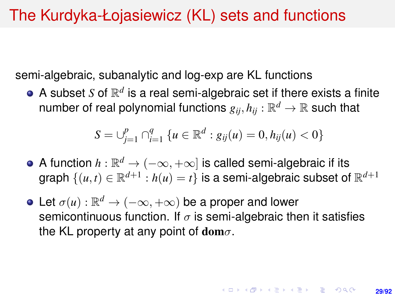## The Kurdyka-Łojasiewicz (KL) sets and functions

semi-algebraic, subanalytic and log-exp are KL functions

A subset *S* of  $\mathbb{R}^d$  is a real semi-algebraic set if there exists a finite number of real polynomial functions  $g_{ij}, h_{ij}:\mathbb{R}^d \rightarrow \mathbb{R}$  such that

$$
S = \bigcup_{j=1}^{p} \bigcap_{i=1}^{q} \{u \in \mathbb{R}^{d} : g_{ij}(u) = 0, h_{ij}(u) < 0\}
$$

- A function  $h:\mathbb{R}^d\to(-\infty,+\infty]$  is called semi-algebraic if its graph  $\{(u,t)\in\mathbb{R}^{d+1}: h(u)=t\}$  is a semi-algebraic subset of  $\mathbb{R}^{d+1}$
- Let  $\sigma(u): \mathbb{R}^d \to (-\infty, +\infty)$  be a proper and lower semicontinuous function. If  $\sigma$  is semi-algebraic then it satisfies the KL property at any point of dom $\sigma$ .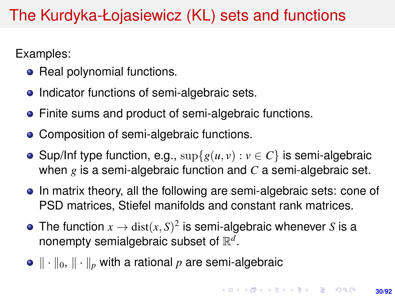# The Kurdyka-Łojasiewicz (KL) sets and functions

Examples:

- Real polynomial functions.
- Indicator functions of semi-algebraic sets.
- Finite sums and product of semi-algebraic functions.
- Composition of semi-algebraic functions.
- **Sup/Inf type function, e.g.,**  $\sup\{g(u, v) : v \in C\}$  **is semi-algebraic** when *g* is a semi-algebraic function and *C* a semi-algebraic set.
- In matrix theory, all the following are semi-algebraic sets: cone of PSD matrices, Stiefel manifolds and constant rank matrices.
- The function  $x \to \text{dist}(x, S)^2$  is semi-algebraic whenever *S* is a nonempty semialgebraic subset of  $\mathbb{R}^d$ .
- $\|\cdot\|_0$ ,  $\|\cdot\|_p$  with a rational *p* are semi-algebraic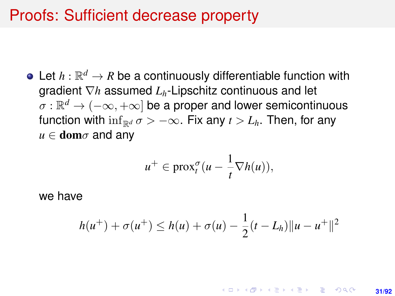#### Proofs: Sufficient decrease property

Let  $h: \mathbb{R}^d \to R$  be a continuously differentiable function with gradient ∇*h* assumed *Lh*-Lipschitz continuous and let  $\sigma:\mathbb{R}^d\to(-\infty,+\infty]$  be a proper and lower semicontinuous function with  $\inf_{\mathbb{R}^d} \sigma > -\infty$ . Fix any  $t > L_h$ . Then, for any  $u \in \textbf{dom}\sigma$  and any

$$
u^+ \in \text{prox}_t^{\sigma}(u - \frac{1}{t} \nabla h(u)),
$$

we have

$$
h(u^{+}) + \sigma(u^{+}) \leq h(u) + \sigma(u) - \frac{1}{2}(t - L_h) \|u - u^{+}\|^2
$$

**KORKARK A BIK BIKA A GA A GA A GA A BIKA A BIKA A BIKA A BIKA A BIKA A BIKA A BIKA A BIKA A BIKA A BIKA A BIKA 31/92**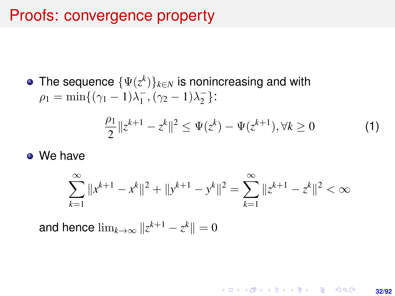#### Proofs: convergence property

• The sequence 
$$
\{\Psi(z^k)\}_{k\in N}
$$
 is nonincreasing and with  $\rho_1 = \min\{(\gamma_1 - 1)\lambda_1^-, (\gamma_2 - 1)\lambda_2^-\}$ :

<span id="page-31-0"></span>
$$
\frac{\rho_1}{2}||z^{k+1} - z^k||^2 \le \Psi(z^k) - \Psi(z^{k+1}), \forall k \ge 0 \tag{1}
$$

• We have

$$
\sum_{k=1}^{\infty} \|x^{k+1} - x^k\|^2 + \|y^{k+1} - y^k\|^2 = \sum_{k=1}^{\infty} \|z^{k+1} - z^k\|^2 < \infty
$$

and hence  $\lim_{k\to\infty}\|z^{k+1}-z^k\|=0$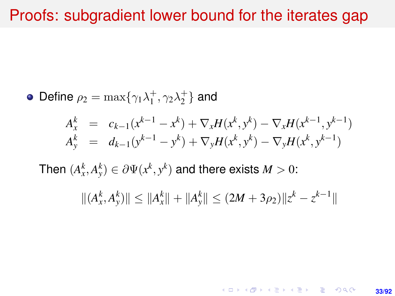#### Proofs: subgradient lower bound for the iterates gap

• Define 
$$
\rho_2 = \max{\{\gamma_1 \lambda_1^+, \gamma_2 \lambda_2^+\}}
$$
 and  
\n
$$
A_x^k = c_{k-1}(x^{k-1} - x^k) + \nabla_x H(x^k, y^k) - \nabla_x H(x^{k-1}, y^{k-1})
$$
\n
$$
A_y^k = d_{k-1}(y^{k-1} - y^k) + \nabla_y H(x^k, y^k) - \nabla_y H(x^k, y^{k-1})
$$
\nThen  $(A_x^k, A_y^k) \in \partial \Psi(x^k, y^k)$  and there exists  $M > 0$ :  
\n
$$
||(A_x^k, A_y^k)|| \le ||A_x^k|| + ||A_y^k|| \le (2M + 3\rho_2)||z^k - z^{k-1}||
$$

K ロ X (日) X (日) X (日) X (日) X (日) X (日) X (日) X (日) X (日) X (日) **33/92**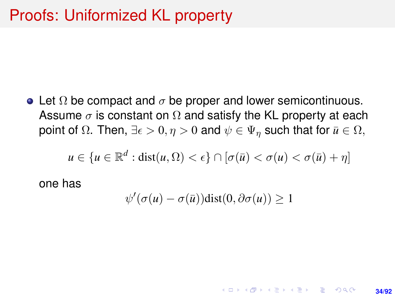• Let  $\Omega$  be compact and  $\sigma$  be proper and lower semicontinuous. Assume  $\sigma$  is constant on  $\Omega$  and satisfy the KL property at each point of  $\Omega$ . Then,  $\exists \epsilon > 0, \eta > 0$  and  $\psi \in \Psi_{\eta}$  such that for  $\bar{u} \in \Omega$ ,

$$
u \in \{u \in \mathbb{R}^d : \text{dist}(u, \Omega) < \epsilon\} \cap [\sigma(\bar{u}) < \sigma(u) < \sigma(\bar{u}) + \eta]
$$

one has

$$
\psi'(\sigma(u) - \sigma(\bar{u}))\text{dist}(0, \partial \sigma(u)) \ge 1
$$

**34/92**

**KORKARK A BIK BIKA A GA A GA A GA A BIKA A BIKA A BIKA A BIKA A BIKA A BIKA A BIKA A BIKA A BIKA A BIKA A BIKA**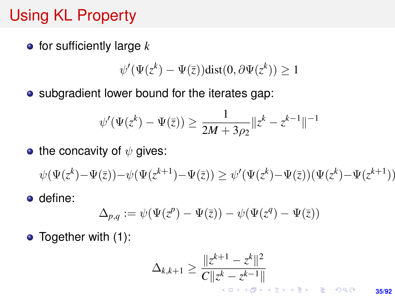# Using KL Property

for sufficiently large *k*

$$
\psi'(\Psi(z^k) - \Psi(\bar{z}))\text{dist}(0, \partial \Psi(z^k)) \ge 1
$$

• subgradient lower bound for the iterates gap:

$$
\psi'(\Psi(z^k) - \Psi(\bar{z})) \ge \frac{1}{2M + 3\rho_2} ||z^k - z^{k-1}||^{-1}
$$

• the concavity of  $\psi$  gives:

$$
\psi(\Psi(z^k) - \Psi(\bar{z})) - \psi(\Psi(z^{k+1}) - \Psi(\bar{z})) \ge \psi'(\Psi(z^k) - \Psi(\bar{z}))(\Psi(z^k) - \Psi(z^{k+1}))
$$

**o** define:

$$
\Delta_{p,q} := \psi(\Psi(z^p) - \Psi(\overline{z})) - \psi(\Psi(z^q) - \Psi(\overline{z}))
$$

• Together with [\(1\)](#page-31-0):

$$
\Delta_{k,k+1} \ge \frac{\|z^{k+1} - z^k\|^2}{C\|z^k - z^{k-1}\|}
$$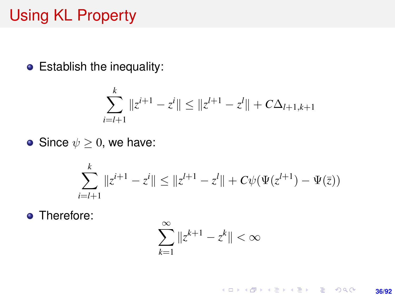# Using KL Property

Establish the inequality:

$$
\sum_{i=l+1}^{k} \|z^{i+1} - z^i\| \le \|z^{l+1} - z^l\| + C\Delta_{l+1,k+1}
$$

• Since 
$$
\psi \geq 0
$$
, we have:

$$
\sum_{i=l+1}^{k} ||z^{i+1} - z^i|| \le ||z^{l+1} - z^l|| + C\psi(\Psi(z^{l+1}) - \Psi(\overline{z}))
$$

**o** Therefore:

$$
\sum_{k=1}^\infty \|z^{k+1}-z^k\|<\infty
$$

K ロ X (日) X (日) X (日) X (日) X (日) X (日) X (日) X (日) X (日) X (日) X (日) **36/92**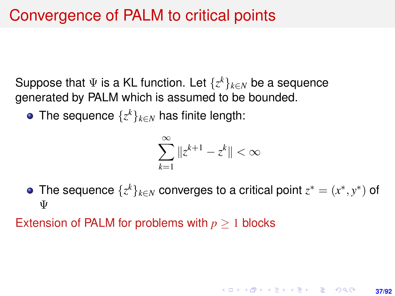Suppose that Ψ is a KL function. Let {*z <sup>k</sup>*}*k*∈*<sup>N</sup>* be a sequence generated by PALM which is assumed to be bounded.

The sequence  $\{z^k\}_{k\in N}$  has finite length:

$$
\sum_{k=1}^{\infty} \|z^{k+1} - z^k\| < \infty
$$

The sequence  $\{z^k\}_{k\in\mathbb{N}}$  converges to a critical point  $z^*=(x^*,y^*)$  of Ψ

**37/92**

**KORKAR KERKER E VOLCH** 

Extension of PALM for problems with *p* ≥ 1 blocks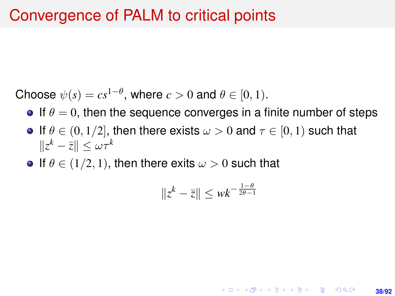#### Convergence of PALM to critical points

Choose  $\psi(s) = cs^{1-\theta}$ , where  $c > 0$  and  $\theta \in [0, 1)$ .

- **If**  $\theta = 0$ , then the sequence converges in a finite number of steps
- **If**  $\theta \in (0, 1/2]$ , then there exists  $\omega > 0$  and  $\tau \in [0, 1)$  such that  $||z^k - \bar{z}|| \leq \omega \tau^k$
- If  $\theta \in (1/2, 1)$ , then there exits  $\omega > 0$  such that

$$
\|z^k - \bar{z}\| \leq \omega k^{-\frac{1-\theta}{2\theta-1}}
$$

**38/92**

**KORKARK A BIK BIKA A GA A GA A GA A BIKA A BIKA A BIKA A BIKA A BIKA A BIKA A BIKA A BIKA A BIKA A BIKA A BIKA**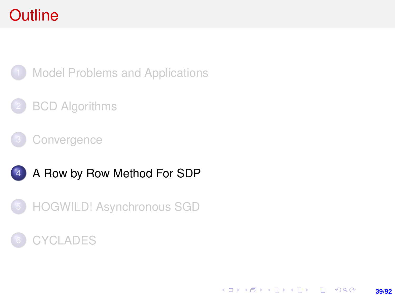# <span id="page-38-0"></span>**Outline**



**[Model Problems and Applications](#page-2-0)** 

#### **[BCD Algorithms](#page-7-0)**

**[Convergence](#page-21-0)** 





#### **[CYCLADES](#page-69-0)**

K ロ > K @ > K 할 > K 할 > → 할 → 9 Q @ **39/92**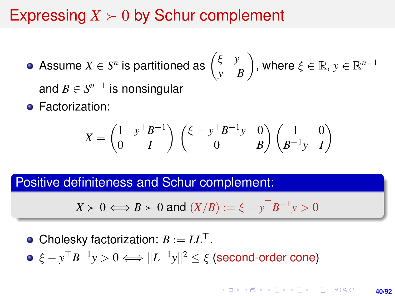# Expressing  $X \geq 0$  by Schur complement

- Assume  $X \in S^n$  is partitioned as  $\begin{pmatrix} \xi & y^{\top} \ y & B \end{pmatrix}$ , where  $\xi \in \mathbb{R}, y \in \mathbb{R}^{n-1}$ and  $B \in S^{n-1}$  is nonsingular
- **•** Factorization:

$$
X = \begin{pmatrix} 1 & y^\top B^{-1} \\ 0 & I \end{pmatrix} \begin{pmatrix} \xi - y^\top B^{-1} y & 0 \\ 0 & B \end{pmatrix} \begin{pmatrix} 1 & 0 \\ B^{-1} y & I \end{pmatrix}
$$

Positive definiteness and Schur complement:

$$
X \succ 0 \Longleftrightarrow B \succ 0 \text{ and } (X/B) := \xi - y^{\top} B^{-1} y > 0
$$

• Cholesky factorization:  $B := LL^\top$ .  $\xi - y^\top B^{-1} y > 0 \Longleftrightarrow \|L^{-1}y\|^2 \leq \xi$  (second-order cone)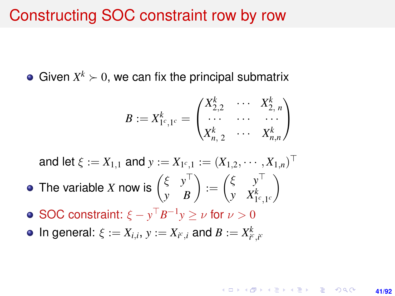#### Constructing SOC constraint row by row

Given  $X^k \succ 0$ , we can fix the principal submatrix

$$
B := X_{1^c,1^c}^k = \begin{pmatrix} X_{2,2}^k & \cdots & X_{2,n}^k \\ \cdots & \cdots & \cdots \\ X_{n,2}^k & \cdots & X_{n,n}^k \end{pmatrix}
$$

and let  $\xi := X_{1,1}$  and  $y := X_{1^c,1} := (X_{1,2}, \cdots, X_{1,n})^\top$ 

- The variable *X* now is  $\begin{pmatrix} \xi & y^{\top} \\ y & B \end{pmatrix} := \begin{pmatrix} \xi & y^{\top} \\ y & X_{1}^{k} \end{pmatrix}$ *y*  $X^{k}_{1^{c},1^{c}}$  $\setminus$
- SOC constraint:  $\xi y^{\top}B^{-1}y \geq \nu$  for  $\nu > 0$
- In general:  $\xi := X_{i,i}, y := X_{i^c,i}$  and  $B := X_{i^c,i^c}^k$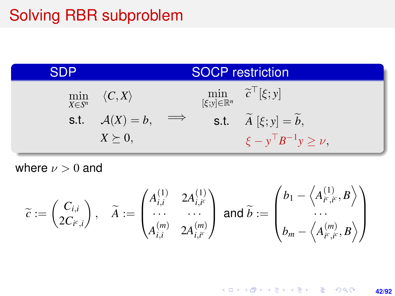# Solving RBR subproblem

| SDP | <b>SOCP</b> restriction                 |  |  |                                                                                |  |
|-----|-----------------------------------------|--|--|--------------------------------------------------------------------------------|--|
|     | $\min_{X \in S^n} \langle C, X \rangle$ |  |  | $\min_{\left[\xi; y\right] \in \mathbb{R}^n} \quad \widetilde{c}^\top[\xi; y]$ |  |
|     | s.t. $A(X) = b$ , $\implies$            |  |  | s.t. $\widetilde{A}[\xi; y] = \widetilde{b}$ ,                                 |  |
|     | $X \succeq 0$                           |  |  | $\xi - y^{\top} B^{-1} y \geq \nu,$                                            |  |

where  $\nu > 0$  and

$$
\widetilde{c} := \begin{pmatrix} C_{i,i} \\ 2C_{i^c,i} \end{pmatrix}, \quad \widetilde{A} := \begin{pmatrix} A_{i,i}^{(1)} & 2A_{i,i^c}^{(1)} \\ \cdots & \cdots \\ A_{i,i}^{(m)} & 2A_{i,i^c}^{(m)} \end{pmatrix} \text{ and } \widetilde{b} := \begin{pmatrix} b_1 - \left\langle A_{i^c,i^c}^{(1)}, B \right\rangle \\ \cdots \\ b_m - \left\langle A_{i^c,i^c}^{(m)}, B \right\rangle \end{pmatrix}
$$

K ロ X (日) X (日) X (日) X (日) X (日) X (日) X (日) X (日) X (日) X (日) X (日) **42/92**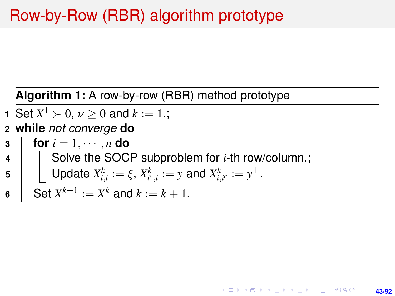# Row-by-Row (RBR) algorithm prototype

#### **Algorithm 1:** A row-by-row (RBR) method prototype

- **1** Set  $X^1 \succ 0$ ,  $\nu \ge 0$  and  $k := 1$ .;
- **2 while** *not converge* **do**
- **3 for**  $i = 1, \dots, n$  **do** 
	- Solve the SOCP subproblem for *i*-th row/column.;

**43/92**

KORK ERKER ERKER

5 
$$
\bigcup \text{Update } X_{i,i}^k := \xi, X_{i^c,i}^k := y \text{ and } X_{i,i^c}^k := y^\top.
$$

6 
$$
\int
$$
 Set  $X^{k+1} := X^k$  and  $k := k + 1$ .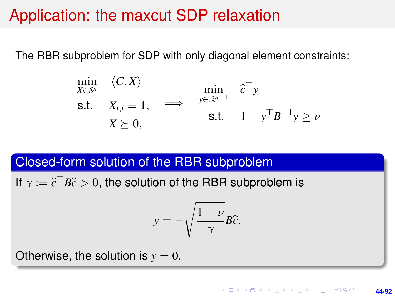## Application: the maxcut SDP relaxation

The RBR subproblem for SDP with only diagonal element constraints:

$$
\min_{X \in S^n} \langle C, X \rangle \qquad \min_{\mathbf{y} \in \mathbb{R}^{n-1}} \hat{c}^\top \mathbf{y} \n\text{s.t.} \quad X_{i,i} = 1, \quad \implies \quad \min_{\mathbf{y} \in \mathbb{R}^{n-1}} \hat{c}^\top \mathbf{y} \n\text{s.t.} \quad 1 - \mathbf{y}^\top B^{-1} \mathbf{y} \ge \nu
$$

#### Closed-form solution of the RBR subproblem

If  $\gamma := \widehat{c}^\top B\widehat{c} > 0$ , the solution of the RBR subproblem is

$$
y=-\sqrt{\frac{1-\nu}{\gamma}}B\widehat{c}.
$$

Otherwise, the solution is  $y = 0$ .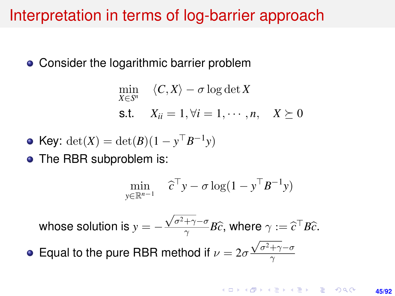## Interpretation in terms of log-barrier approach

• Consider the logarithmic barrier problem

$$
\min_{X \in S^n} \langle C, X \rangle - \sigma \log \det X
$$
  
s.t.  $X_{ii} = 1, \forall i = 1, \dots, n, \quad X \succeq 0$ 

• Key: 
$$
\det(X) = \det(B)(1 - y^{\top}B^{-1}y)
$$

• The RBR subproblem is:

$$
\min_{y \in \mathbb{R}^{n-1}} \quad \widehat{c}^{\top} y - \sigma \log(1 - y^{\top} B^{-1} y)
$$

whose solution is  $y = \sqrt{\sigma^2 + \gamma} - \sigma$  $\frac{+\gamma-\sigma}{\gamma}B\widehat{c}$ , where  $\gamma:=\widehat{c}^{\top}B\widehat{c}$ .

Equal to the pure RBR method if  $\nu = 2\sigma \frac{\sqrt{\sigma^2 + \gamma - \sigma^2}}{\gamma}$ γ

#### **KORKARK A BIK BIKA A GA A GA A GA A BIKA A BIKA A BIKA A BIKA A BIKA A BIKA A BIKA A BIKA A BIKA A BIKA A BIKA 45/92**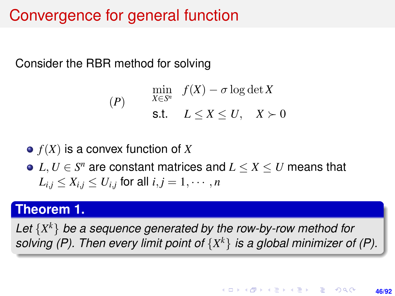# Convergence for general function

Consider the RBR method for solving

$$
(P) \quad \min_{X \in S^n} f(X) - \sigma \log \det X
$$
\n
$$
\text{s.t.} \quad L \le X \le U, \quad X \succ 0
$$

#### $\bullet$   $f(X)$  is a convex function of *X*

 $L, U \in S^n$  are constant matrices and  $L \leq X \leq U$  means that  $L_{i,j} \leq X_{i,j} \leq U_{i,j}$  for all  $i,j = 1, \cdots, n$ 

#### **Theorem 1.**

*Let* {*X <sup>k</sup>*} *be a sequence generated by the row-by-row method for solving (P). Then every limit point of* {*X <sup>k</sup>*} *is a global minimizer of (P).*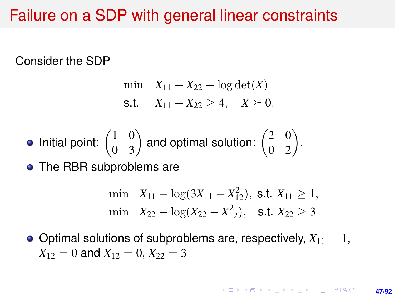## Failure on a SDP with general linear constraints

Consider the SDP

$$
\min \quad X_{11} + X_{22} - \log \det(X)
$$
  
s.t. 
$$
X_{11} + X_{22} \ge 4, \quad X \succeq 0.
$$

• Initial point: 
$$
\begin{pmatrix} 1 & 0 \\ 0 & 3 \end{pmatrix}
$$
 and optimal solution:  $\begin{pmatrix} 2 & 0 \\ 0 & 2 \end{pmatrix}$ .

• The RBR subproblems are

$$
\begin{aligned}\n\min \quad & X_{11} - \log(3X_{11} - X_{12}^2), \text{ s.t. } X_{11} \ge 1, \\
\min \quad & X_{22} - \log(X_{22} - X_{12}^2), \quad \text{s.t. } X_{22} \ge 3\n\end{aligned}
$$

 $\bullet$  Optimal solutions of subproblems are, respectively,  $X_{11} = 1$ ,  $X_{12} = 0$  and  $X_{12} = 0$ ,  $X_{22} = 3$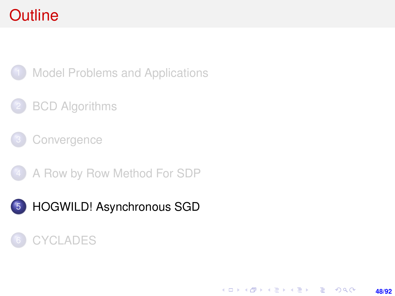# <span id="page-47-0"></span>**Outline**



**[Model Problems and Applications](#page-2-0)** 

#### **[BCD Algorithms](#page-7-0)**

**[Convergence](#page-21-0)** 

4 [A Row by Row Method For SDP](#page-38-0)

5 [HOGWILD! Asynchronous SGD](#page-47-0)

#### **[CYCLADES](#page-69-0)**

K ロ > K @ > K 할 > K 할 > → 할 → 9 Q @ **48/92**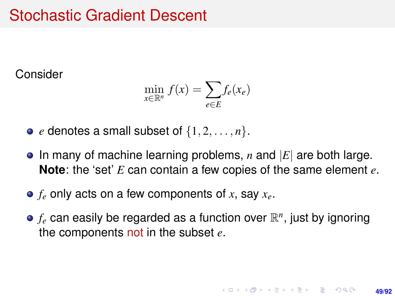# Stochastic Gradient Descent

Consider

$$
\min_{x \in \mathbb{R}^n} f(x) = \sum_{e \in E} f_e(x_e)
$$

- $\bullet$  *e* denotes a small subset of  $\{1, 2, \ldots, n\}$ .
- In many of machine learning problems, *n* and |*E*| are both large. **Note**: the 'set' *E* can contain a few copies of the same element *e*.
- *f<sup>e</sup>* only acts on a few components of *x*, say *xe*.
- $f_e$  can easily be regarded as a function over  $\mathbb{R}^n$ , just by ignoring the components not in the subset *e*.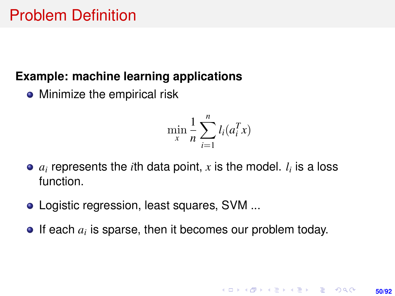#### **Example: machine learning applications**

• Minimize the empirical risk

$$
\min_{x} \frac{1}{n} \sum_{i=1}^{n} l_i(a_i^T x)
$$

- $a_i$  represents the *i*th data point,  $x$  is the model.  $l_i$  is a loss function.
- Logistic regression, least squares, SVM ...
- If each  $a_i$  is sparse, then it becomes our problem today.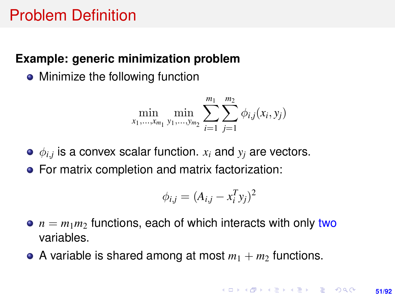# Problem Definition

#### **Example: generic minimization problem**

• Minimize the following function

$$
\min_{x_1,\ldots,x_{m_1}}\min_{y_1,\ldots,y_{m_2}}\sum_{i=1}^{m_1}\sum_{j=1}^{m_2}\phi_{i,j}(x_i,y_j)
$$

- $\phi_{i,j}$  is a convex scalar function.  $x_i$  and  $y_j$  are vectors.
- For matrix completion and matrix factorization:

$$
\phi_{i,j} = (A_{i,j} - x_i^T y_j)^2
$$

- $\bullet$   $n = m_1 m_2$  functions, each of which interacts with only two variables.
- A variable is shared among at most  $m_1 + m_2$  functions.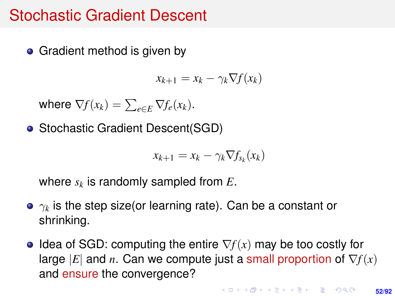## Stochastic Gradient Descent

• Gradient method is given by

$$
x_{k+1} = x_k - \gamma_k \nabla f(x_k)
$$

where  $\nabla f(x_k) = \sum_{e \in E} \nabla f_e(x_k)$ .

• Stochastic Gradient Descent (SGD)

$$
x_{k+1} = x_k - \gamma_k \nabla f_{s_k}(x_k)
$$

where *s<sup>k</sup>* is randomly sampled from *E*.

- $\gamma_k$  is the step size(or learning rate). Can be a constant or shrinking.
- Idea of SGD: computing the entire ∇*f*(*x*) may be too costly for large  $|E|$  and *n*. Can we compute just a small proportion of  $\nabla f(x)$ and ensure the convergence?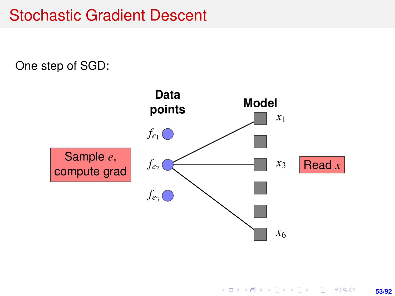# Stochastic Gradient Descent

One step of SGD:

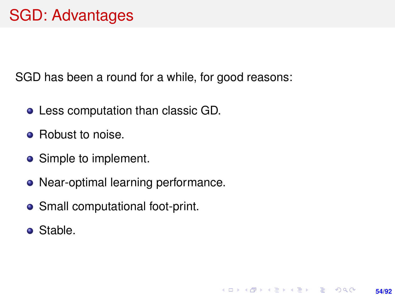SGD has been a round for a while, for good reasons:

**54/92**

**KORKARK A BIK BIKA A GA A GA A GA A BIKA A BIKA A BIKA A BIKA A BIKA A BIKA A BIKA A BIKA A BIKA A BIKA A BIKA** 

- Less computation than classic GD.
- Robust to noise.
- Simple to implement.
- Near-optimal learning performance.
- Small computational foot-print.
- Stable.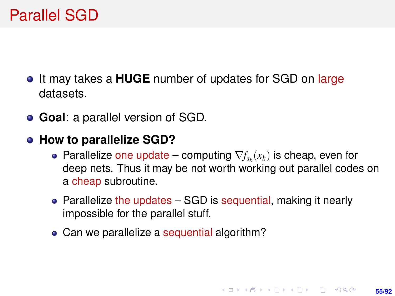- **•** It may takes a **HUGE** number of updates for SGD on large datasets.
- **Goal**: a parallel version of SGD.
- **How to parallelize SGD?** 
	- Parallelize one update computing  $\nabla f_{s_k}(x_k)$  is cheap, even for deep nets. Thus it may be not worth working out parallel codes on a cheap subroutine.
	- Parallelize the updates SGD is sequential, making it nearly impossible for the parallel stuff.
	- Can we parallelize a sequential algorithm?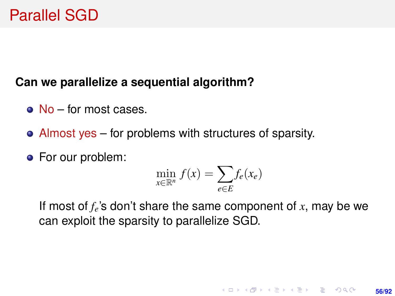#### **Can we parallelize a sequential algorithm?**

- No for most cases.
- Almost yes for problems with structures of sparsity.
- **•** For our problem:

$$
\min_{x \in \mathbb{R}^n} f(x) = \sum_{e \in E} f_e(x_e)
$$

If most of *fe*'s don't share the same component of *x*, may be we can exploit the sparsity to parallelize SGD.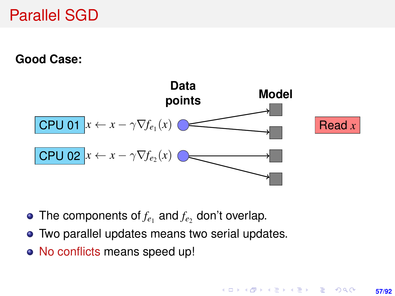**Good Case:**



- The components of  $f_e$  and  $f_e$  don't overlap.
- Two parallel updates means two serial updates.
- No conflicts means speed up!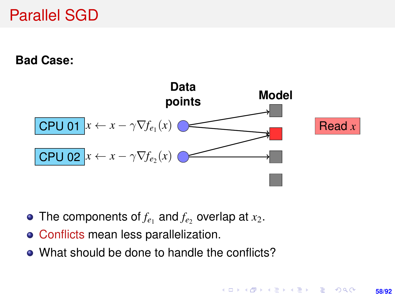**Bad Case:**



- The components of  $f_{e_1}$  and  $f_{e_2}$  overlap at  $x_2$ .
- Conflicts mean less parallelization.
- What should be done to handle the conflicts?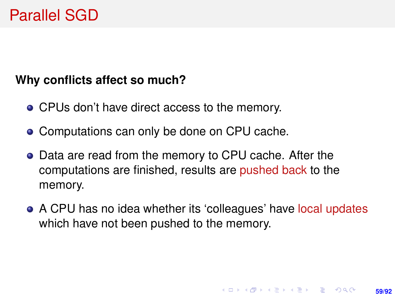#### **Why conflicts affect so much?**

- CPUs don't have direct access to the memory.
- Computations can only be done on CPU cache.
- Data are read from the memory to CPU cache. After the computations are finished, results are pushed back to the memory.
- A CPU has no idea whether its 'colleagues' have local updates which have not been pushed to the memory.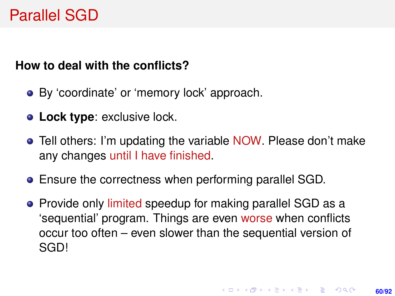#### **How to deal with the conflicts?**

- By 'coordinate' or 'memory lock' approach.
- **Lock type**: exclusive lock.
- **•** Tell others: I'm updating the variable NOW. Please don't make any changes until I have finished.
- Ensure the correctness when performing parallel SGD.
- Provide only limited speedup for making parallel SGD as a 'sequential' program. Things are even worse when conflicts occur too often – even slower than the sequential version of SGD!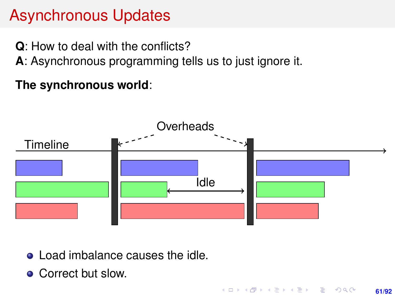# Asynchronous Updates

**Q**: How to deal with the conflicts?

**A**: Asynchronous programming tells us to just ignore it.

**The synchronous world**:



**61/92**

KORK ERKER ERKER

• Load imbalance causes the idle.

• Correct but slow.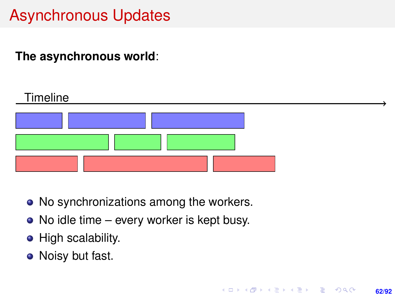# Asynchronous Updates

#### **The asynchronous world**:

| Timeline |  |
|----------|--|
|          |  |
|          |  |
|          |  |

**62/92**

**KORKARK A BIK BIKA A GA A GA A GA A BIKA A BIKA A BIKA A BIKA A BIKA A BIKA A BIKA A BIKA A BIKA A BIKA A BIKA** 

- No synchronizations among the workers.
- No idle time every worker is kept busy.
- High scalability.
- Noisy but fast.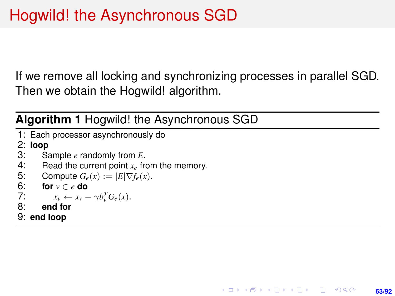If we remove all locking and synchronizing processes in parallel SGD. Then we obtain the Hogwild! algorithm.

**63/92**

KORK ERKER ERKER

**Algorithm 1** Hogwild! the Asynchronous SGD

1: Each processor asynchronously do

2: **loop**

- 3: Sample *e* randomly from *E*.<br>4: Read the current point  $x_e$  from
- 4: Read the current point  $x_e$  from the memory.<br>5: Compute  $G_e(x) := |E|\nabla f_e(x)|$ .
- 5: Compute  $G_e(x) := |E| \nabla f_e(x)$ .<br>6: **for**  $v \in e$  **do**
- 6: **for**  $v \in e$  **do**<br>7:  $x_v \leftarrow x_v$
- 7:  $x_v \leftarrow x_v \gamma b_v^T G_e(x).$
- 8: **end for**
- 9: **end loop**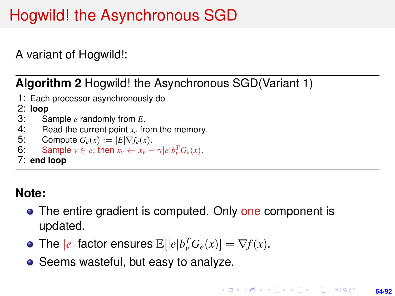# Hogwild! the Asynchronous SGD

A variant of Hogwild!:

**Algorithm 2** Hogwild! the Asynchronous SGD(Variant 1)

1: Each processor asynchronously do

# 2: **loop**

- 3: Sample *e* randomly from *E*.<br>4: Read the current point  $x_e$  from
- 4: Read the current point  $x_e$  from the memory.<br>5: Compute  $G_e(x) := |E| \nabla f_e(x)$ .
- 5: Compute  $G_e(x) := |E|\nabla f_e(x)$ .<br>6: Sample  $v \in e$ , then  $x_v \leftarrow x_v$
- 6: Sample  $v \in e$ , then  $x_v \leftarrow x_v \gamma |e| b_v^T G_e(x)$ .
- 7: **end loop**

#### **Note:**

- The entire gradient is computed. Only one component is updated.
- The  $|e|$  factor ensures  $\mathbb{E}[|e|b_v^T G_e(x)] = \nabla f(x)$ .
- Seems wasteful, but easy to analyze.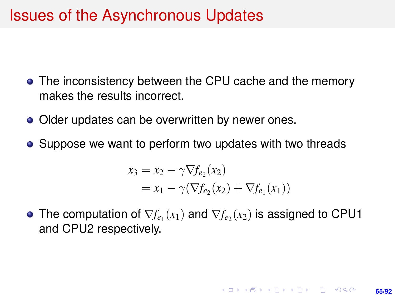## Issues of the Asynchronous Updates

- The inconsistency between the CPU cache and the memory makes the results incorrect.
- Older updates can be overwritten by newer ones.
- Suppose we want to perform two updates with two threads

$$
x_3 = x_2 - \gamma \nabla f_{e_2}(x_2)
$$
  
=  $x_1 - \gamma (\nabla f_{e_2}(x_2) + \nabla f_{e_1}(x_1))$ 

The computation of  $\nabla f_{e_1}(x_1)$  and  $\nabla f_{e_2}(x_2)$  is assigned to CPU1 and CPU2 respectively.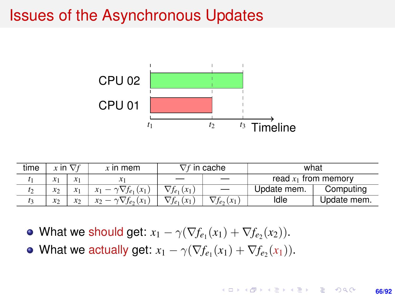## Issues of the Asynchronous Updates



| time |               | $x$ in $\nabla f$ | $x$ in mem                         | $\nabla f$ in cache   |                     | what                   |             |
|------|---------------|-------------------|------------------------------------|-----------------------|---------------------|------------------------|-------------|
|      | $x_1$         | $x_1$             |                                    |                       |                     | read $x_1$ from memory |             |
|      | $x_2$         |                   | $x_1 - \gamma \nabla f_{e_1}(x_1)$ | $\nabla f_{e_1}(x_1)$ |                     | Update mem.            | Computing   |
|      | $\mathcal{X}$ | $\mathcal{X}$     | $x_2 - \gamma \nabla f_e(x_1)$     | $\nabla f_{e_1}(x_1)$ | $\nabla f_e, (x_1)$ | ldle                   | Update mem. |

- What we should get:  $x_1 \gamma(\nabla f_{e_1}(x_1) + \nabla f_{e_2}(x_2)).$
- What we actually get:  $x_1 \gamma(\nabla f_{e_1}(x_1) + \nabla f_{e_2}(x_1)).$

#### イロト イ押 トイヨ トイヨ トー ほい  $2Q$ **66/92**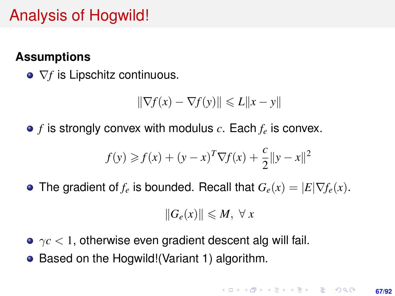# Analysis of Hogwild!

#### **Assumptions**

**○**  $∇f$  is Lipschitz continuous.

$$
\|\nabla f(x) - \nabla f(y)\| \le L\|x - y\|
$$

*f* is strongly convex with modulus *c*. Each *f<sup>e</sup>* is convex.

$$
f(y) \ge f(x) + (y - x)^{T} \nabla f(x) + \frac{c}{2} ||y - x||^{2}
$$

• The gradient of  $f_e$  is bounded. Recall that  $G_e(x) = |E| \nabla f_e(x)$ .

$$
||G_e(x)|| \leq M, \ \forall \ x
$$

- $\gamma c$  < 1, otherwise even gradient descent alg will fail.
- Based on the Hogwild! (Variant 1) algorithm.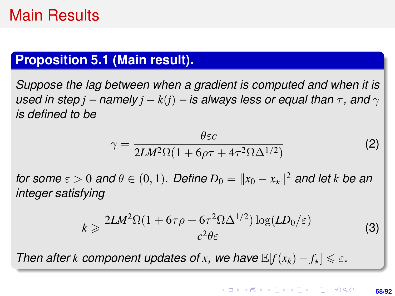# Main Results

#### **Proposition 5.1 (Main result).**

<span id="page-67-0"></span>*Suppose the lag between when a gradient is computed and when it is used in step j* – namely *j* –  $k(j)$  – *is always less or equal than*  $\tau$ , and  $\gamma$ *is defined to be*

$$
\gamma = \frac{\theta \varepsilon c}{2LM^2\Omega(1 + 6\rho\tau + 4\tau^2\Omega\Delta^{1/2})}
$$
 (2)

*for some*  $\varepsilon > 0$  *and*  $\theta \in (0, 1)$ . Define  $D_0 = ||x_0 - x_*||^2$  and let k be an *integer satisfying*

$$
k \geqslant \frac{2LM^2\Omega(1+6\tau\rho+6\tau^2\Omega\Delta^{1/2})\log(LD_0/\varepsilon)}{c^2\theta\varepsilon}
$$
 (3)

*Then after k component updates of x*, we have  $\mathbb{E}[f(x_k) - f_k] \leq \varepsilon$ .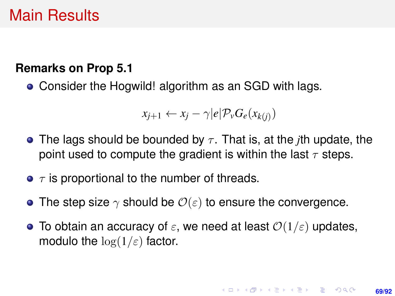# Main Results

#### **Remarks on Prop [5.1](#page-67-0)**

Consider the Hogwild! algorithm as an SGD with lags.

$$
x_{j+1} \leftarrow x_j - \gamma |e| \mathcal{P}_v G_e(x_{k(j)})
$$

- **•** The lags should be bounded by  $\tau$ . That is, at the *j*th update, the point used to compute the gradient is within the last  $\tau$  steps.
- $\bullet$   $\tau$  is proportional to the number of threads.
- The step size  $\gamma$  should be  $\mathcal{O}(\varepsilon)$  to ensure the convergence.
- **•** To obtain an accuracy of  $\varepsilon$ , we need at least  $\mathcal{O}(1/\varepsilon)$  updates, modulo the  $\log(1/\varepsilon)$  factor.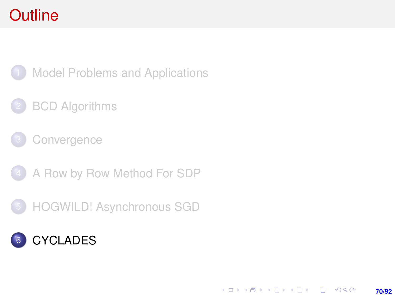# <span id="page-69-0"></span>**Outline**



**[Model Problems and Applications](#page-2-0)** 

#### **[BCD Algorithms](#page-7-0)**

**[Convergence](#page-21-0)** 

4 [A Row by Row Method For SDP](#page-38-0)

5 [HOGWILD! Asynchronous SGD](#page-47-0)

# 6 [CYCLADES](#page-69-0)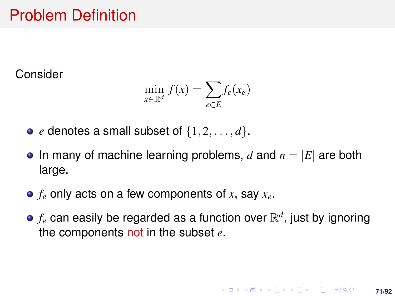# Problem Definition

Consider

$$
\min_{x \in \mathbb{R}^d} f(x) = \sum_{e \in E} f_e(x_e)
$$

- $\bullet$  *e* denotes a small subset of  $\{1, 2, \ldots, d\}$ .
- $\bullet$  In many of machine learning problems, *d* and  $n = |E|$  are both large.
- *f<sup>e</sup>* only acts on a few components of *x*, say *xe*.
- $f_e$  can easily be regarded as a function over  $\mathbb{R}^d$ , just by ignoring the components not in the subset *e*.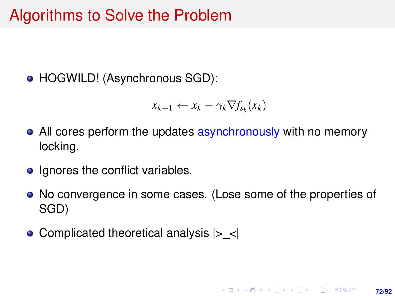# Algorithms to Solve the Problem

● HOGWILD! (Asynchronous SGD):

$$
x_{k+1} \leftarrow x_k - \gamma_k \nabla f_{s_k}(x_k)
$$

- All cores perform the updates asynchronously with no memory locking.
- Ignores the conflict variables.
- No convergence in some cases. (Lose some of the properties of SGD)

**72/92**

**KORKARK A BIK BIKA A GA A GA A GA A BIKA A BIKA A BIKA A BIKA A BIKA A BIKA A BIKA A BIKA A BIKA A BIKA A BIKA** 

• Complicated theoretical analysis  $|>$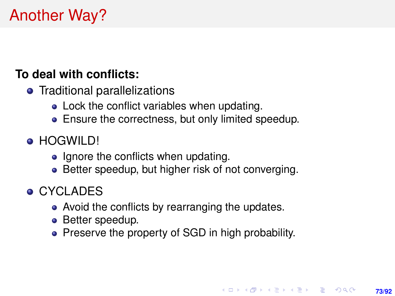# Another Way?

### **To deal with conflicts:**

- Traditional parallelizations
	- Lock the conflict variables when updating.
	- **•** Ensure the correctness, but only limited speedup.
- **HOGWILD!** 
	- Ignore the conflicts when updating.
	- Better speedup, but higher risk of not converging.
- **CYCLADES** 
	- Avoid the conflicts by rearranging the updates.
	- Better speedup.
	- Preserve the property of SGD in high probability.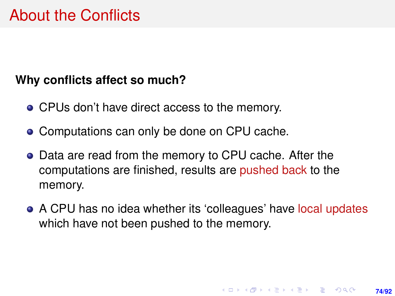#### **Why conflicts affect so much?**

- CPUs don't have direct access to the memory.
- Computations can only be done on CPU cache.
- Data are read from the memory to CPU cache. After the computations are finished, results are pushed back to the memory.
- A CPU has no idea whether its 'colleagues' have local updates which have not been pushed to the memory.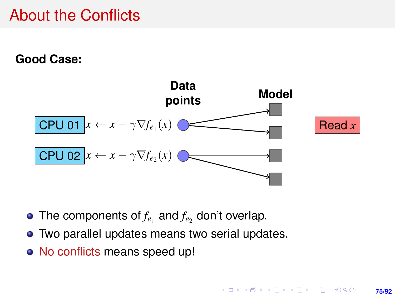## About the Conflicts

**Good Case:**



- The components of  $f_e$  and  $f_e$  don't overlap.
- Two parallel updates means two serial updates.
- No conflicts means speed up!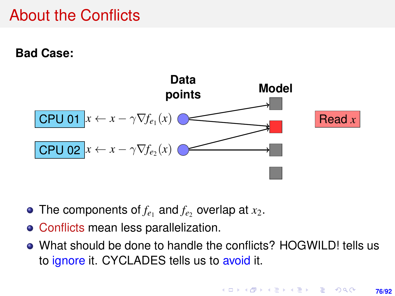### About the Conflicts

**Bad Case:**



- The components of  $f_e$  and  $f_e$  overlap at  $x_2$ .
- Conflicts mean less parallelization.
- What should be done to handle the conflicts? HOGWILD! tells us to ignore it. CYCLADES tells us to avoid it.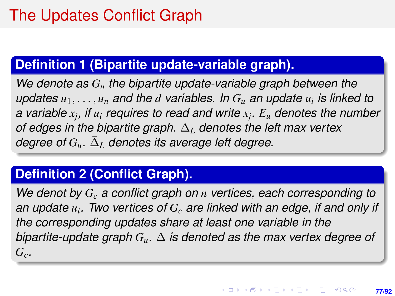### **Definition 1 (Bipartite update-variable graph).**

*We denote as G<sup>u</sup> the bipartite update-variable graph between the updates u*1, . . . , *u<sup>n</sup> and the d variables. In G<sup>u</sup> an update u<sup>i</sup> is linked to a variable x<sup>j</sup> , if u<sup>i</sup> requires to read and write x<sup>j</sup> . E<sup>u</sup> denotes the number of edges in the bipartite graph.* ∆*<sup>L</sup> denotes the left max vertex*  $\deg$ ree of  $G_u$ .  $\bar{\Delta}_L$  denotes its average left degree.

### **Definition 2 (Conflict Graph).**

*We denot by G<sup>c</sup> a conflict graph on n vertices, each corresponding to an update u<sup>i</sup> . Two vertices of G<sup>c</sup> are linked with an edge, if and only if the corresponding updates share at least one variable in the bipartite-update graph Gu.* ∆ *is denoted as the max vertex degree of*  $G_c$ *.*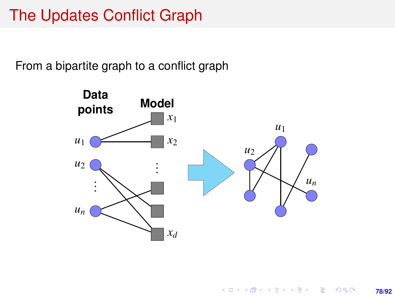## The Updates Conflict Graph

From a bipartite graph to a conflict graph

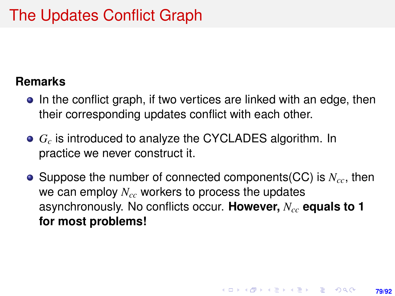# The Updates Conflict Graph

#### **Remarks**

- In the conflict graph, if two vertices are linked with an edge, then their corresponding updates conflict with each other.
- *G<sup>c</sup>* is introduced to analyze the CYCLADES algorithm. In practice we never construct it.
- Suppose the number of connected components(CC) is *N<sub>cc*</sub>, then we can employ *Ncc* workers to process the updates asynchronously. No conflicts occur. **However,** *Ncc* **equals to 1 for most problems!**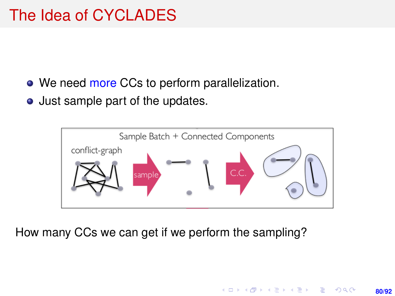- We need more CCs to perform parallelization.
- Just sample part of the updates.



How many CCs we can get if we perform the sampling?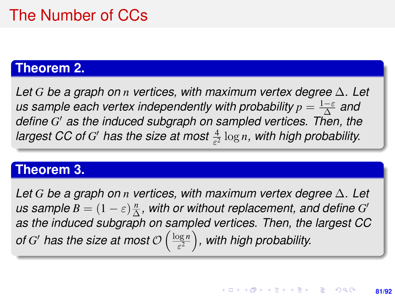## The Number of CCs

### **Theorem 2.**

<span id="page-80-1"></span>*Let G be a graph on n vertices, with maximum vertex degree* ∆*. Let us sample each vertex independently with probability*  $p = \frac{1-\varepsilon}{\Delta}$  and *define G* <sup>0</sup> *as the induced subgraph on sampled vertices. Then, the* largest CC of G' has the size at most  $\frac{4}{\varepsilon^2} \log n$ , with high probability.

#### **Theorem 3.**

<span id="page-80-0"></span>*Let G be a graph on n vertices, with maximum vertex degree* ∆*. Let us sample*  $B = (1 - \varepsilon) \frac{n}{\Delta}$  $\frac{n}{\Delta}$ , with or without replacement, and define  $G'$ *as the induced subgraph on sampled vertices. Then, the largest CC of G'* has the size at most  $\mathcal{O}\left(\frac{\log n}{\varepsilon^2}\right)$  $\left(\frac{\log n}{\varepsilon^2}\right)$ , with high probability.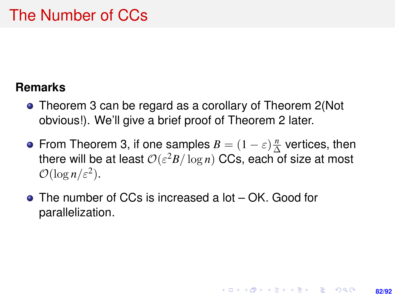### The Number of CCs

### **Remarks**

- Theorem [3](#page-80-0) can be regard as a corollary of Theorem [2\(](#page-80-1)Not obvious!). We'll give a brief proof of Theorem [2](#page-80-1) later.
- From Theorem [3,](#page-80-0) if one samples  $B = (1 \varepsilon) \frac{n}{\Delta}$  $\frac{n}{\Delta}$  vertices, then there will be at least  $\mathcal{O}(\varepsilon^2 B / \log n)$  CCs, each of size at most  $\mathcal{O}(\log n/\varepsilon^2)$ .

**82/92**

**KORKARK A BIK BIKA A GA A GA A GA A BIKA A BIKA A BIKA A BIKA A BIKA A BIKA A BIKA A BIKA A BIKA A BIKA A BIKA** 

The number of CCs is increased a lot – OK. Good for parallelization.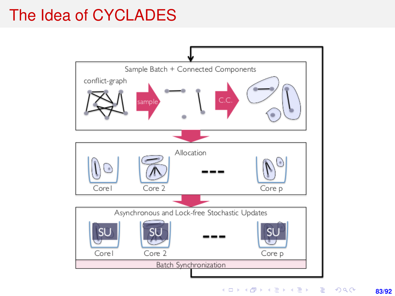## The Idea of CYCLADES



メロトメ 御 トメ 君 トメ 君 トッ 君  $299$ **83/92**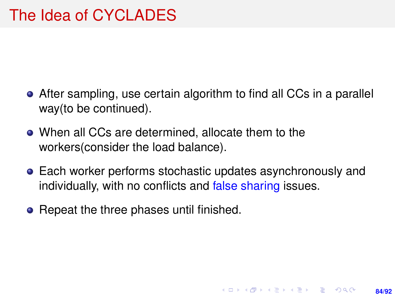- After sampling, use certain algorithm to find all CCs in a parallel way(to be continued).
- When all CCs are determined, allocate them to the workers(consider the load balance).
- Each worker performs stochastic updates asynchronously and individually, with no conflicts and false sharing issues.

**84/92**

**KORKARK A BIK BIKA A GA A GA A GA A BIKA A BIKA A BIKA A BIKA A BIKA A BIKA A BIKA A BIKA A BIKA A BIKA A BIKA** 

• Repeat the three phases until finished.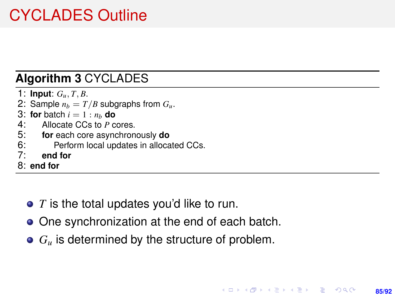# CYCLADES Outline

### **Algorithm 3** CYCLADES

- 1: **Input**: *Gu*, *T*, *B*.
- 2: Sample  $n_b = T/B$  subgraphs from  $G_u$ .
- 3: **for** batch  $i = 1 : n_b$  **do**<br>4: Allocate CCs to P c
- 4: Allocate CCs to *P* cores.<br>5: **for** each core asynchron
- 5: **for** each core asynchronously **do**
- 6: Perform local updates in allocated CCs.<br> $7'$  end for
- 7: **end for**
- 8: **end for**
	- *T* is the total updates you'd like to run.
	- One synchronization at the end of each batch.
	- $G_u$  is determined by the structure of problem.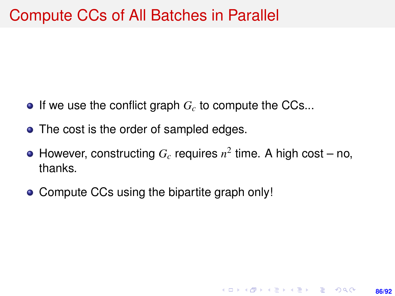- $\bullet$  If we use the conflict graph  $G_c$  to compute the CCs...
- The cost is the order of sampled edges.
- However, constructing  $G_c$  requires  $n^2$  time. A high cost no, thanks.

**86/92**

**KORKARK A BIK BIKA A GA A GA A GA A BIKA A BIKA A BIKA A BIKA A BIKA A BIKA A BIKA A BIKA A BIKA A BIKA A BIKA** 

• Compute CCs using the bipartite graph only!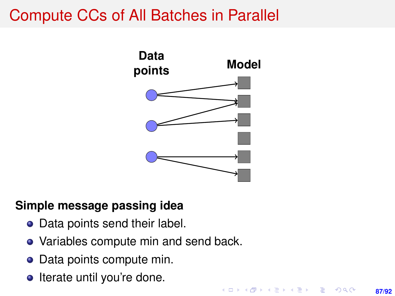## Compute CCs of All Batches in Parallel



#### **Simple message passing idea**

- Data points send their label.
- Variables compute min and send back.
- Data points compute min.
- Iterate until you're done.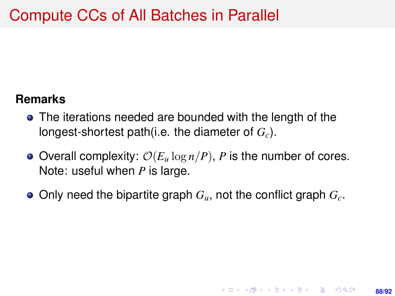#### **Remarks**

- The iterations needed are bounded with the length of the longest-shortest path(i.e. the diameter of *Gc*).
- $\bullet$  Overall complexity:  $\mathcal{O}(E_u \log n / P)$ , *P* is the number of cores. Note: useful when *P* is large.
- Only need the bipartite graph *Gu*, not the conflict graph *Gc*.

**88/92**

**KORKARK KERKER DRAM**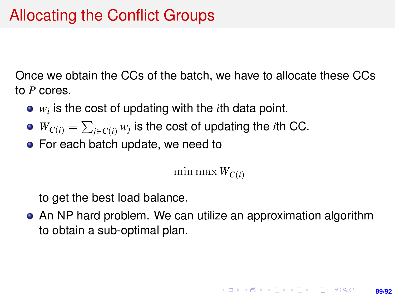Once we obtain the CCs of the batch, we have to allocate these CCs to *P* cores.

- *wi* is the cost of updating with the *i*th data point.
- $W_{C(i)} = \sum_{j \in C(i)} w_j$  is the cost of updating the *i*th CC.
- For each batch update, we need to

min max  $W_{C(i)}$ 

to get the best load balance.

An NP hard problem. We can utilize an approximation algorithm to obtain a sub-optimal plan.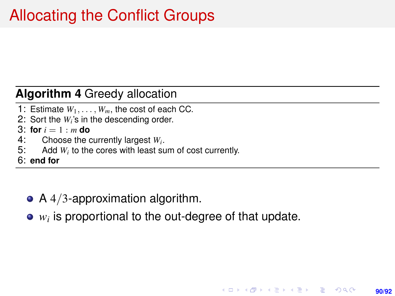#### **Algorithm 4** Greedy allocation

- 1: Estimate  $W_1, \ldots, W_m$ , the cost of each CC.
- 2: Sort the *W<sup>i</sup>* 's in the descending order.
- 3: **for**  $i = 1 : m$  **do**<br>4: Choose the *d*
- 4: Choose the currently largest  $W_i$ .<br>5: Add  $W_i$  to the cores with least su
- Add *W<sub>i</sub>* to the cores with least sum of cost currently.
- 6: **end for**
	- $\bullet$  A 4/3-approximation algorithm.
	- *wi* is proportional to the out-degree of that update.

**90/92**

**KORKARK A BIK BIKA A GA A GA A GA A BIKA A BIKA A BIKA A BIKA A BIKA A BIKA A BIKA A BIKA A BIKA A BIKA A BIKA**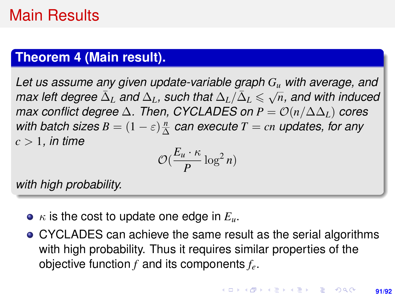## Main Results

#### **Theorem 4 (Main result).**

<span id="page-90-0"></span>*Let us assume any given update-variable graph G<sup>u</sup> with average, and*  $\frac{L}{L}$  *as assume any given update variable graph*  $G_i$  *max left degree*  $\overline{\Delta}_L$  *and*  $\Delta_L$ *, such that*  $\Delta_L/\overline{\Delta}_L \leq \sqrt{2L}$ *n, and with induced max conflict degree*  $\Delta$ *. Then, CYCLADES on P =*  $\mathcal{O}(n/\Delta\Delta_L)$  *cores with batch sizes*  $B = (1 - \varepsilon) \frac{n}{\Delta}$  $\frac{n}{\Delta}$  can execute  $T=c n$  updates, for any *c* > 1*, in time*

$$
\mathcal{O}(\frac{E_u \cdot \kappa}{P} \log^2 n)
$$

*with high probability.*

- $\bullet$   $\kappa$  is the cost to update one edge in  $E_u$ .
- CYCLADES can achieve the same result as the serial algorithms with high probability. Thus it requires similar properties of the objective function *f* and its components *fe*.